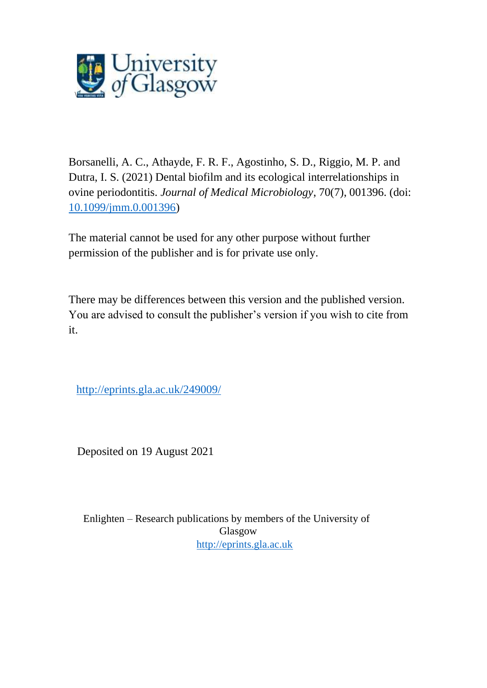

Borsanelli, A. C., Athayde, F. R. F., Agostinho, S. D., Riggio, M. P. and Dutra, I. S. (2021) Dental biofilm and its ecological interrelationships in ovine periodontitis. *Journal of Medical Microbiology*, 70(7), 001396. (doi: [10.1099/jmm.0.001396\)](http://dx.doi.org/10.1099/jmm.0.001396)

The material cannot be used for any other purpose without further permission of the publisher and is for private use only.

There may be differences between this version and the published version. You are advised to consult the publisher's version if you wish to cite from it.

<http://eprints.gla.ac.uk/249009/>

Deposited on 19 August 2021

Enlighten – Research publications by members of the University of Glasgow [http://eprints.gla.ac.uk](http://eprints.gla.ac.uk/)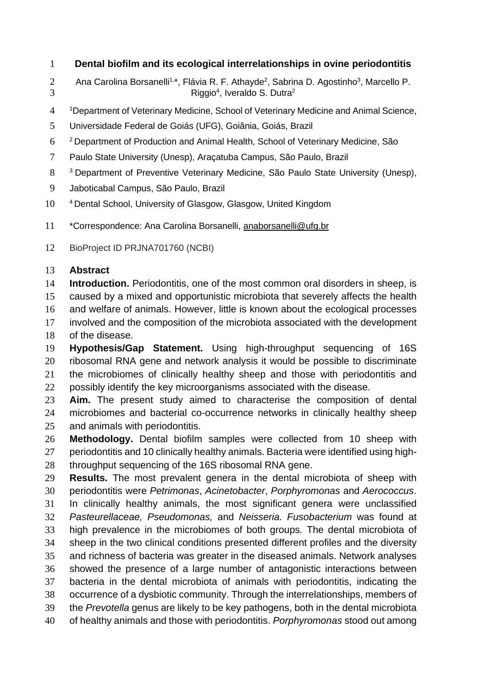## **Dental biofilm and its ecological interrelationships in ovine periodontitis**

- Ana Carolina Borsanelli<sup>1,\*</sup>, Flávia R. F. Athayde<sup>2</sup>, Sabrina D. Agostinho<sup>3</sup>, Marcello P. Riggio<sup>4</sup> , Iveraldo S. Dutra<sup>2</sup>
- Department of Veterinary Medicine, School of Veterinary Medicine and Animal Science,
- Universidade Federal de Goiás (UFG), Goiânia, Goiás, Brazil
- Department of Production and Animal Health, School of Veterinary Medicine, São
- Paulo State University (Unesp), Araçatuba Campus, São Paulo, Brazil
- Department of Preventive Veterinary Medicine, São Paulo State University (Unesp),
- Jaboticabal Campus, São Paulo, Brazil
- <sup>4</sup> Dental School, University of Glasgow, Glasgow, United Kingdom
- 11 \*Correspondence: Ana Carolina Borsanelli, [anaborsanelli@ufg.br](mailto:anaborsanelli@ufg.br)
- BioProject ID PRJNA701760 (NCBI)

## **Abstract**

 **Introduction.** Periodontitis, one of the most common oral disorders in sheep, is caused by a mixed and opportunistic microbiota that severely affects the health

and welfare of animals. However, little is known about the ecological processes

involved and the composition of the microbiota associated with the development

of the disease.

 **Hypothesis/Gap Statement.** Using high-throughput sequencing of 16S ribosomal RNA gene and network analysis it would be possible to discriminate the microbiomes of clinically healthy sheep and those with periodontitis and possibly identify the key microorganisms associated with the disease.

 **Aim.** The present study aimed to characterise the composition of dental microbiomes and bacterial co-occurrence networks in clinically healthy sheep and animals with periodontitis.

 **Methodology.** Dental biofilm samples were collected from 10 sheep with periodontitis and 10 clinically healthy animals. Bacteria were identified using high-28 throughput sequencing of the 16S ribosomal RNA gene.

 **Results.** The most prevalent genera in the dental microbiota of sheep with periodontitis were *Petrimonas*, *Acinetobacter*, *Porphyromonas* and *Aerococcus*. In clinically healthy animals, the most significant genera were unclassified *Pasteurellaceae, Pseudomonas,* and *Neisseria. Fusobacterium* was found at high prevalence in the microbiomes of both groups*.* The dental microbiota of sheep in the two clinical conditions presented different profiles and the diversity and richness of bacteria was greater in the diseased animals. Network analyses showed the presence of a large number of antagonistic interactions between bacteria in the dental microbiota of animals with periodontitis, indicating the occurrence of a dysbiotic community. Through the interrelationships, members of the *Prevotella* genus are likely to be key pathogens, both in the dental microbiota of healthy animals and those with periodontitis. *Porphyromonas* stood out among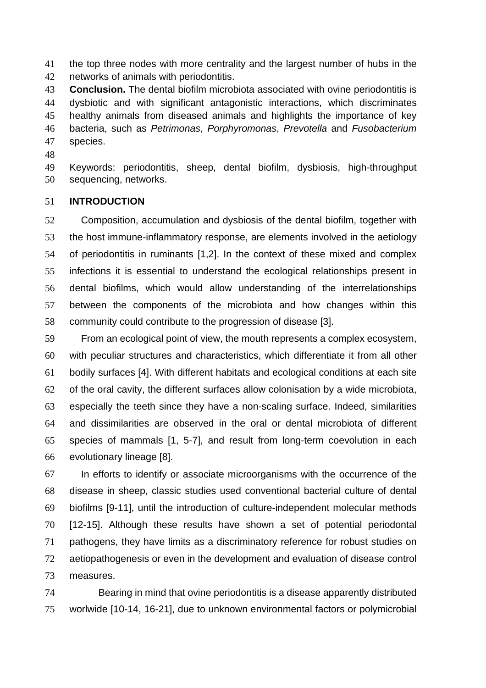the top three nodes with more centrality and the largest number of hubs in the networks of animals with periodontitis.

 **Conclusion.** The dental biofilm microbiota associated with ovine periodontitis is dysbiotic and with significant antagonistic interactions, which discriminates healthy animals from diseased animals and highlights the importance of key bacteria, such as *Petrimonas*, *Porphyromonas*, *Prevotella* and *Fusobacterium* species.

 Keywords: periodontitis, sheep, dental biofilm, dysbiosis, high-throughput sequencing, networks.

## **INTRODUCTION**

 Composition, accumulation and dysbiosis of the dental biofilm, together with the host immune-inflammatory response, are elements involved in the aetiology of periodontitis in ruminants [1,2]. In the context of these mixed and complex infections it is essential to understand the ecological relationships present in dental biofilms, which would allow understanding of the interrelationships between the components of the microbiota and how changes within this community could contribute to the progression of disease [3].

 From an ecological point of view, the mouth represents a complex ecosystem, with peculiar structures and characteristics, which differentiate it from all other bodily surfaces [4]. With different habitats and ecological conditions at each site of the oral cavity, the different surfaces allow colonisation by a wide microbiota, especially the teeth since they have a non-scaling surface. Indeed, similarities and dissimilarities are observed in the oral or dental microbiota of different species of mammals [1, 5-7], and result from long-term coevolution in each evolutionary lineage [8].

 In efforts to identify or associate microorganisms with the occurrence of the disease in sheep, classic studies used conventional bacterial culture of dental biofilms [9-11], until the introduction of culture-independent molecular methods [12-15]. Although these results have shown a set of potential periodontal pathogens, they have limits as a discriminatory reference for robust studies on aetiopathogenesis or even in the development and evaluation of disease control measures.

 Bearing in mind that ovine periodontitis is a disease apparently distributed worlwide [10-14, 16-21], due to unknown environmental factors or polymicrobial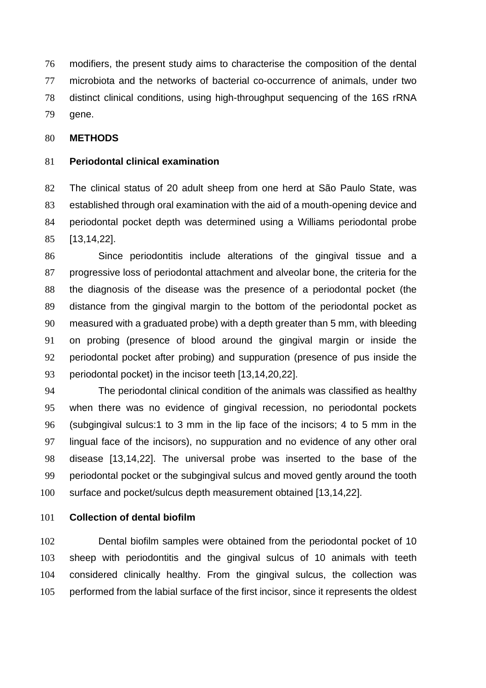modifiers, the present study aims to characterise the composition of the dental microbiota and the networks of bacterial co-occurrence of animals, under two distinct clinical conditions, using high-throughput sequencing of the 16S rRNA gene.

## **METHODS**

## **Periodontal clinical examination**

 The clinical status of 20 adult sheep from one herd at São Paulo State, was established through oral examination with the aid of a mouth-opening device and periodontal pocket depth was determined using a Williams periodontal probe [13,14,22].

 Since periodontitis include alterations of the gingival tissue and a progressive loss of periodontal attachment and alveolar bone, the criteria for the the diagnosis of the disease was the presence of a periodontal pocket (the distance from the gingival margin to the bottom of the periodontal pocket as measured with a graduated probe) with a depth greater than 5 mm, with bleeding on probing (presence of blood around the gingival margin or inside the periodontal pocket after probing) and suppuration (presence of pus inside the periodontal pocket) in the incisor teeth [13,14,20,22].

 The periodontal clinical condition of the animals was classified as healthy when there was no evidence of gingival recession, no periodontal pockets (subgingival sulcus:1 to 3 mm in the lip face of the incisors; 4 to 5 mm in the lingual face of the incisors), no suppuration and no evidence of any other oral disease [13,14,22]. The universal probe was inserted to the base of the periodontal pocket or the subgingival sulcus and moved gently around the tooth surface and pocket/sulcus depth measurement obtained [13,14,22].

## **Collection of dental biofilm**

 Dental biofilm samples were obtained from the periodontal pocket of 10 sheep with periodontitis and the gingival sulcus of 10 animals with teeth considered clinically healthy. From the gingival sulcus, the collection was performed from the labial surface of the first incisor, since it represents the oldest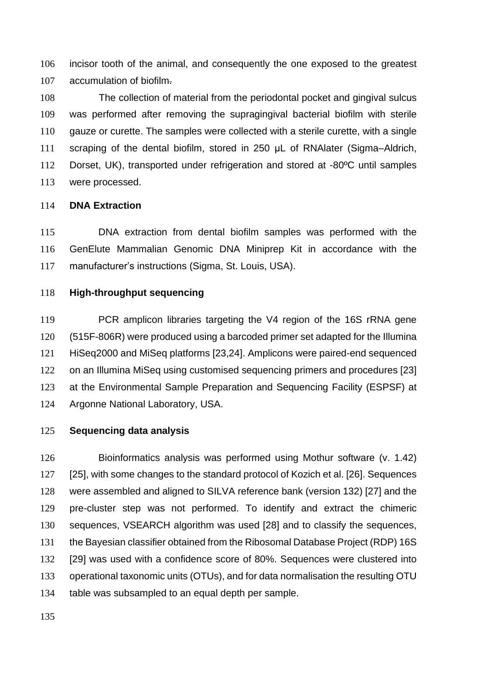incisor tooth of the animal, and consequently the one exposed to the greatest accumulation of biofilm.

 The collection of material from the periodontal pocket and gingival sulcus was performed after removing the supragingival bacterial biofilm with sterile gauze or curette. The samples were collected with a sterile curette, with a single scraping of the dental biofilm, stored in 250 μL of RNAlater (Sigma–Aldrich, Dorset, UK), transported under refrigeration and stored at -80ºC until samples were processed.

## **DNA Extraction**

 DNA extraction from dental biofilm samples was performed with the GenElute Mammalian Genomic DNA Miniprep Kit in accordance with the manufacturer's instructions (Sigma, St. Louis, USA).

## **High-throughput sequencing**

 PCR amplicon libraries targeting the V4 region of the 16S rRNA gene (515F-806R) were produced using a barcoded primer set adapted for the Illumina HiSeq2000 and MiSeq platforms [23,24]. Amplicons were paired-end sequenced on an Illumina MiSeq using customised sequencing primers and procedures [23] at the Environmental Sample Preparation and Sequencing Facility (ESPSF) at Argonne National Laboratory, USA.

#### **Sequencing data analysis**

 Bioinformatics analysis was performed using Mothur software (v. 1.42) [25], with some changes to the standard protocol of Kozich et al. [26]. Sequences were assembled and aligned to SILVA reference bank (version 132) [27] and the pre-cluster step was not performed. To identify and extract the chimeric sequences, VSEARCH algorithm was used [28] and to classify the sequences, the Bayesian classifier obtained from the Ribosomal Database Project (RDP) 16S [29] was used with a confidence score of 80%. Sequences were clustered into operational taxonomic units (OTUs), and for data normalisation the resulting OTU table was subsampled to an equal depth per sample.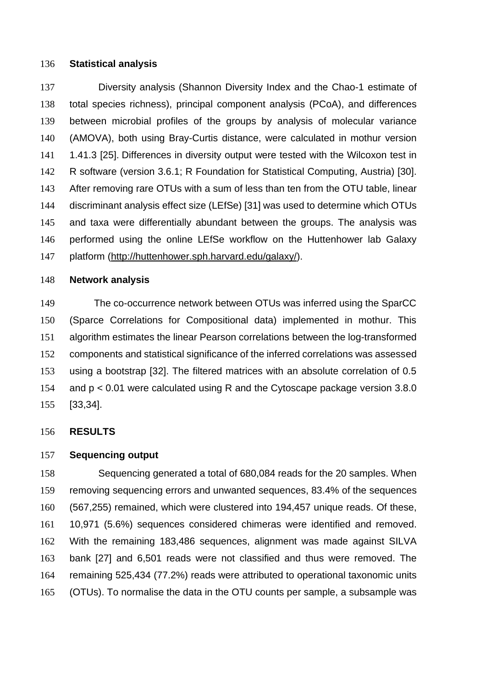#### **Statistical analysis**

 Diversity analysis (Shannon Diversity Index and the Chao-1 estimate of total species richness), principal component analysis (PCoA), and differences between microbial profiles of the groups by analysis of molecular variance (AMOVA), both using Bray-Curtis distance, were calculated in mothur version 1.41.3 [25]. Differences in diversity output were tested with the Wilcoxon test in R software (version 3.6.1; R Foundation for Statistical Computing, Austria) [30]. After removing rare OTUs with a sum of less than ten from the OTU table, linear discriminant analysis effect size (LEfSe) [31] was used to determine which OTUs and taxa were differentially abundant between the groups. The analysis was performed using the online LEfSe workflow on the Huttenhower lab Galaxy platform [\(http://huttenhower.sph.harvard.edu/galaxy/\)](http://huttenhower.sph.harvard.edu/galaxy/).

#### **Network analysis**

The co-occurrence network between OTUs was inferred using the SparCC (Sparce Correlations for Compositional data) implemented in mothur. This algorithm estimates the linear Pearson correlations between the log-transformed components and statistical significance of the inferred correlations was assessed using a bootstrap [32]. The filtered matrices with an absolute correlation of 0.5 and p < 0.01 were calculated using R and the Cytoscape package version 3.8.0 [33,34].

#### **RESULTS**

## **Sequencing output**

 Sequencing generated a total of 680,084 reads for the 20 samples. When removing sequencing errors and unwanted sequences, 83.4% of the sequences (567,255) remained, which were clustered into 194,457 unique reads. Of these, 10,971 (5.6%) sequences considered chimeras were identified and removed. With the remaining 183,486 sequences, alignment was made against SILVA bank [27] and 6,501 reads were not classified and thus were removed. The remaining 525,434 (77.2%) reads were attributed to operational taxonomic units (OTUs). To normalise the data in the OTU counts per sample, a subsample was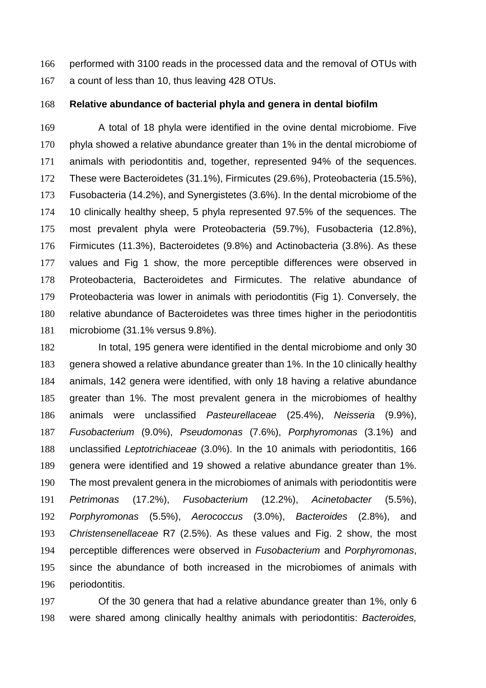performed with 3100 reads in the processed data and the removal of OTUs with a count of less than 10, thus leaving 428 OTUs.

**Relative abundance of bacterial phyla and genera in dental biofilm**

 A total of 18 phyla were identified in the ovine dental microbiome. Five phyla showed a relative abundance greater than 1% in the dental microbiome of animals with periodontitis and, together, represented 94% of the sequences. These were Bacteroidetes (31.1%), Firmicutes (29.6%), Proteobacteria (15.5%), Fusobacteria (14.2%), and Synergistetes (3.6%). In the dental microbiome of the 10 clinically healthy sheep, 5 phyla represented 97.5% of the sequences. The most prevalent phyla were Proteobacteria (59.7%), Fusobacteria (12.8%), Firmicutes (11.3%), Bacteroidetes (9.8%) and Actinobacteria (3.8%). As these values and Fig 1 show, the more perceptible differences were observed in Proteobacteria, Bacteroidetes and Firmicutes. The relative abundance of Proteobacteria was lower in animals with periodontitis (Fig 1). Conversely, the relative abundance of Bacteroidetes was three times higher in the periodontitis microbiome (31.1% versus 9.8%).

 In total, 195 genera were identified in the dental microbiome and only 30 genera showed a relative abundance greater than 1%. In the 10 clinically healthy animals, 142 genera were identified, with only 18 having a relative abundance greater than 1%. The most prevalent genera in the microbiomes of healthy animals were unclassified *Pasteurellaceae* (25.4%), *Neisseria* (9.9%), *Fusobacterium* (9.0%), *Pseudomonas* (7.6%), *Porphyromonas* (3.1%) and unclassified *Leptotrichiaceae* (3.0%). In the 10 animals with periodontitis, 166 genera were identified and 19 showed a relative abundance greater than 1%. The most prevalent genera in the microbiomes of animals with periodontitis were *Petrimonas* (17.2%), *Fusobacterium* (12.2%), *Acinetobacter* (5.5%), *Porphyromonas* (5.5%), *Aerococcus* (3.0%), *Bacteroides* (2.8%), and *Christensenellaceae* R7 (2.5%). As these values and Fig. 2 show, the most perceptible differences were observed in *Fusobacterium* and *Porphyromonas*, since the abundance of both increased in the microbiomes of animals with periodontitis.

 Of the 30 genera that had a relative abundance greater than 1%, only 6 were shared among clinically healthy animals with periodontitis: *Bacteroides,*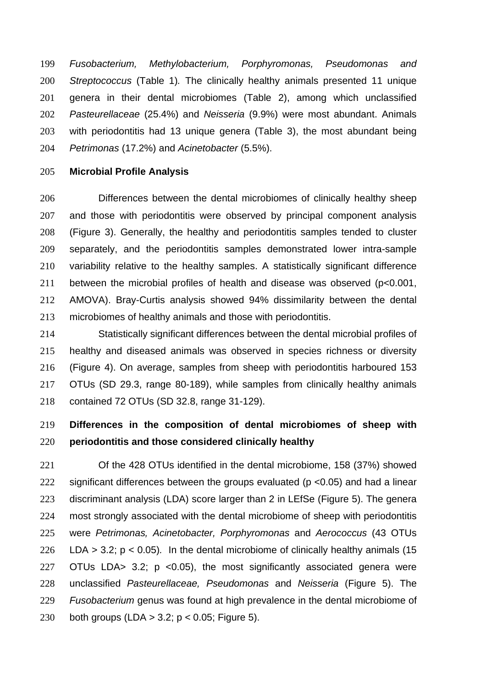*Fusobacterium, Methylobacterium, Porphyromonas, Pseudomonas and Streptococcus* (Table 1)*.* The clinically healthy animals presented 11 unique genera in their dental microbiomes (Table 2), among which unclassified *Pasteurellaceae* (25.4%) and *Neisseria* (9.9%) were most abundant. Animals with periodontitis had 13 unique genera (Table 3), the most abundant being *Petrimonas* (17.2%) and *Acinetobacter* (5.5%).

## **Microbial Profile Analysis**

 Differences between the dental microbiomes of clinically healthy sheep and those with periodontitis were observed by principal component analysis (Figure 3). Generally, the healthy and periodontitis samples tended to cluster separately, and the periodontitis samples demonstrated lower intra-sample variability relative to the healthy samples. A statistically significant difference between the microbial profiles of health and disease was observed (p<0.001, AMOVA). Bray-Curtis analysis showed 94% dissimilarity between the dental microbiomes of healthy animals and those with periodontitis.

 Statistically significant differences between the dental microbial profiles of healthy and diseased animals was observed in species richness or diversity (Figure 4). On average, samples from sheep with periodontitis harboured 153 OTUs (SD 29.3, range 80-189), while samples from clinically healthy animals contained 72 OTUs (SD 32.8, range 31-129).

# **Differences in the composition of dental microbiomes of sheep with periodontitis and those considered clinically healthy**

 Of the 428 OTUs identified in the dental microbiome, 158 (37%) showed significant differences between the groups evaluated (p <0.05) and had a linear discriminant analysis (LDA) score larger than 2 in LEfSe (Figure 5). The genera most strongly associated with the dental microbiome of sheep with periodontitis were *Petrimonas, Acinetobacter, Porphyromonas* and *Aerococcus* (43 OTUs LDA > 3.2; p < 0.05)*.* In the dental microbiome of clinically healthy animals (15 OTUs LDA> 3.2; p <0.05), the most significantly associated genera were unclassified *Pasteurellaceae, Pseudomonas* and *Neisseria* (Figure 5). The *Fusobacterium* genus was found at high prevalence in the dental microbiome of both groups (LDA > 3.2; p < 0.05; Figure 5).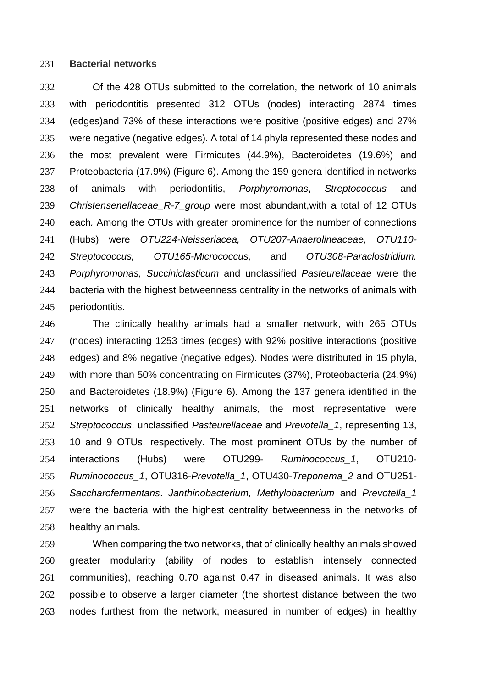## **Bacterial networks**

 Of the 428 OTUs submitted to the correlation, the network of 10 animals with periodontitis presented 312 OTUs (nodes) interacting 2874 times (edges)and 73% of these interactions were positive (positive edges) and 27% were negative (negative edges). A total of 14 phyla represented these nodes and the most prevalent were Firmicutes (44.9%), Bacteroidetes (19.6%) and Proteobacteria (17.9%) (Figure 6). Among the 159 genera identified in networks of animals with periodontitis, *Porphyromonas*, *Streptococcus* and *Christensenellaceae\_R-7\_group* were most abundant,with a total of 12 OTUs each*.* Among the OTUs with greater prominence for the number of connections (Hubs) were *OTU224-Neisseriacea, OTU207-Anaerolineaceae, OTU110- Streptococcus, OTU165-Micrococcus,* and *OTU308-Paraclostridium. Porphyromonas, Succiniclasticum* and unclassified *Pasteurellaceae* were the bacteria with the highest betweenness centrality in the networks of animals with periodontitis.

 The clinically healthy animals had a smaller network, with 265 OTUs (nodes) interacting 1253 times (edges) with 92% positive interactions (positive edges) and 8% negative (negative edges). Nodes were distributed in 15 phyla, with more than 50% concentrating on Firmicutes (37%), Proteobacteria (24.9%) and Bacteroidetes (18.9%) (Figure 6). Among the 137 genera identified in the networks of clinically healthy animals, the most representative were *Streptococcus*, unclassified *Pasteurellaceae* and *Prevotella\_1*, representing 13, 10 and 9 OTUs, respectively. The most prominent OTUs by the number of interactions (Hubs) were OTU299- *Ruminococcus\_1*, OTU210- *Ruminococcus\_1*, OTU316-*Prevotella\_1*, OTU430-*Treponema\_2* and OTU251- *Saccharofermentans*. *Janthinobacterium, Methylobacterium* and *Prevotella\_1* were the bacteria with the highest centrality betweenness in the networks of healthy animals.

 When comparing the two networks, that of clinically healthy animals showed greater modularity (ability of nodes to establish intensely connected communities), reaching 0.70 against 0.47 in diseased animals. It was also possible to observe a larger diameter (the shortest distance between the two nodes furthest from the network, measured in number of edges) in healthy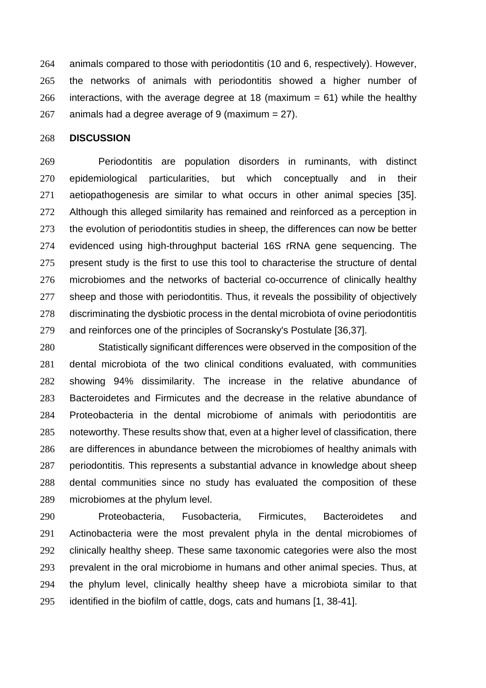animals compared to those with periodontitis (10 and 6, respectively). However, the networks of animals with periodontitis showed a higher number of 266 interactions, with the average degree at 18 (maximum  $= 61$ ) while the healthy 267 animals had a degree average of 9 (maximum  $= 27$ ).

#### **DISCUSSION**

 Periodontitis are population disorders in ruminants, with distinct epidemiological particularities, but which conceptually and in their aetiopathogenesis are similar to what occurs in other animal species [35]. Although this alleged similarity has remained and reinforced as a perception in 273 the evolution of periodontitis studies in sheep, the differences can now be better evidenced using high-throughput bacterial 16S rRNA gene sequencing. The present study is the first to use this tool to characterise the structure of dental microbiomes and the networks of bacterial co-occurrence of clinically healthy 277 sheep and those with periodontitis. Thus, it reveals the possibility of objectively discriminating the dysbiotic process in the dental microbiota of ovine periodontitis and reinforces one of the principles of Socransky's Postulate [36,37].

 Statistically significant differences were observed in the composition of the dental microbiota of the two clinical conditions evaluated, with communities showing 94% dissimilarity. The increase in the relative abundance of Bacteroidetes and Firmicutes and the decrease in the relative abundance of Proteobacteria in the dental microbiome of animals with periodontitis are noteworthy. These results show that, even at a higher level of classification, there are differences in abundance between the microbiomes of healthy animals with periodontitis. This represents a substantial advance in knowledge about sheep dental communities since no study has evaluated the composition of these microbiomes at the phylum level.

 Proteobacteria, Fusobacteria, Firmicutes, Bacteroidetes and Actinobacteria were the most prevalent phyla in the dental microbiomes of 292 clinically healthy sheep. These same taxonomic categories were also the most prevalent in the oral microbiome in humans and other animal species. Thus, at the phylum level, clinically healthy sheep have a microbiota similar to that identified in the biofilm of cattle, dogs, cats and humans [1, 38-41].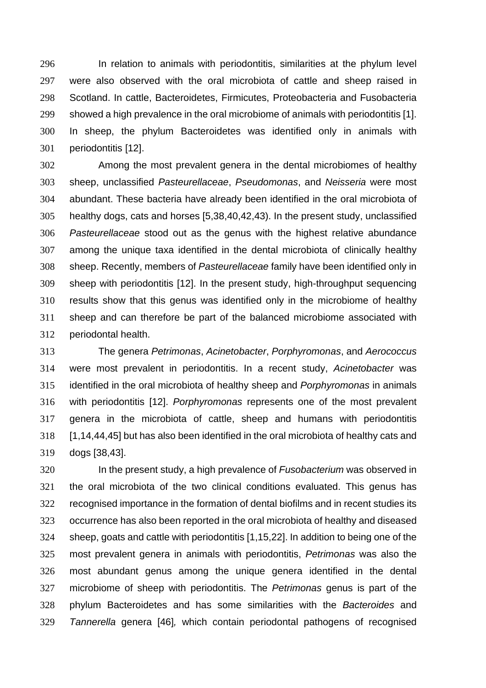In relation to animals with periodontitis, similarities at the phylum level were also observed with the oral microbiota of cattle and sheep raised in Scotland. In cattle, Bacteroidetes, Firmicutes, Proteobacteria and Fusobacteria showed a high prevalence in the oral microbiome of animals with periodontitis [1]. In sheep, the phylum Bacteroidetes was identified only in animals with periodontitis [12].

 Among the most prevalent genera in the dental microbiomes of healthy sheep, unclassified *Pasteurellaceae*, *Pseudomonas*, and *Neisseria* were most abundant. These bacteria have already been identified in the oral microbiota of healthy dogs, cats and horses [5,38,40,42,43). In the present study, unclassified *Pasteurellaceae* stood out as the genus with the highest relative abundance among the unique taxa identified in the dental microbiota of clinically healthy sheep. Recently, members of *Pasteurellaceae* family have been identified only in sheep with periodontitis [12]. In the present study, high-throughput sequencing results show that this genus was identified only in the microbiome of healthy sheep and can therefore be part of the balanced microbiome associated with periodontal health.

 The genera *Petrimonas*, *Acinetobacter*, *Porphyromonas*, and *Aerococcus* were most prevalent in periodontitis. In a recent study, *Acinetobacter* was identified in the oral microbiota of healthy sheep and *Porphyromonas* in animals with periodontitis [12]. *Porphyromonas* represents one of the most prevalent genera in the microbiota of cattle, sheep and humans with periodontitis [1,14,44,45] but has also been identified in the oral microbiota of healthy cats and dogs [38,43].

 In the present study, a high prevalence of *Fusobacterium* was observed in the oral microbiota of the two clinical conditions evaluated. This genus has recognised importance in the formation of dental biofilms and in recent studies its occurrence has also been reported in the oral microbiota of healthy and diseased sheep, goats and cattle with periodontitis [1,15,22]. In addition to being one of the most prevalent genera in animals with periodontitis, *Petrimonas* was also the most abundant genus among the unique genera identified in the dental microbiome of sheep with periodontitis. The *Petrimonas* genus is part of the phylum Bacteroidetes and has some similarities with the *Bacteroides* and *Tannerella* genera [46]*,* which contain periodontal pathogens of recognised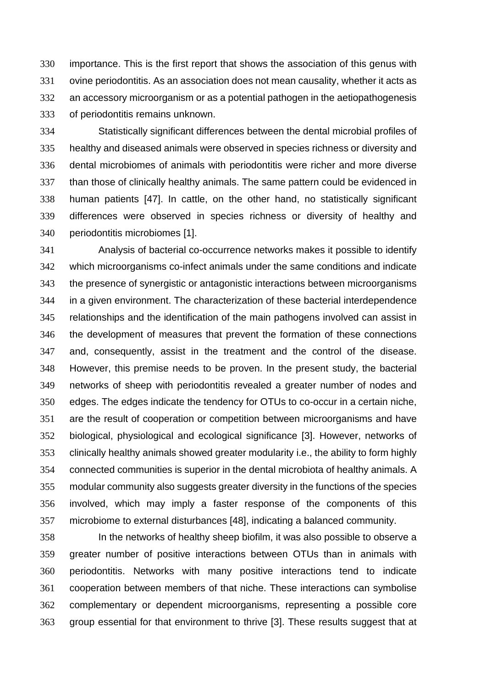importance. This is the first report that shows the association of this genus with ovine periodontitis. As an association does not mean causality, whether it acts as an accessory microorganism or as a potential pathogen in the aetiopathogenesis of periodontitis remains unknown.

 Statistically significant differences between the dental microbial profiles of healthy and diseased animals were observed in species richness or diversity and dental microbiomes of animals with periodontitis were richer and more diverse than those of clinically healthy animals. The same pattern could be evidenced in human patients [47]. In cattle, on the other hand, no statistically significant differences were observed in species richness or diversity of healthy and periodontitis microbiomes [1].

 Analysis of bacterial co-occurrence networks makes it possible to identify which microorganisms co-infect animals under the same conditions and indicate the presence of synergistic or antagonistic interactions between microorganisms in a given environment. The characterization of these bacterial interdependence relationships and the identification of the main pathogens involved can assist in the development of measures that prevent the formation of these connections and, consequently, assist in the treatment and the control of the disease. However, this premise needs to be proven. In the present study, the bacterial networks of sheep with periodontitis revealed a greater number of nodes and edges. The edges indicate the tendency for OTUs to co-occur in a certain niche, are the result of cooperation or competition between microorganisms and have biological, physiological and ecological significance [3]. However, networks of clinically healthy animals showed greater modularity i.e., the ability to form highly connected communities is superior in the dental microbiota of healthy animals. A modular community also suggests greater diversity in the functions of the species involved, which may imply a faster response of the components of this microbiome to external disturbances [48], indicating a balanced community.

 In the networks of healthy sheep biofilm, it was also possible to observe a greater number of positive interactions between OTUs than in animals with periodontitis. Networks with many positive interactions tend to indicate cooperation between members of that niche. These interactions can symbolise complementary or dependent microorganisms, representing a possible core group essential for that environment to thrive [3]. These results suggest that at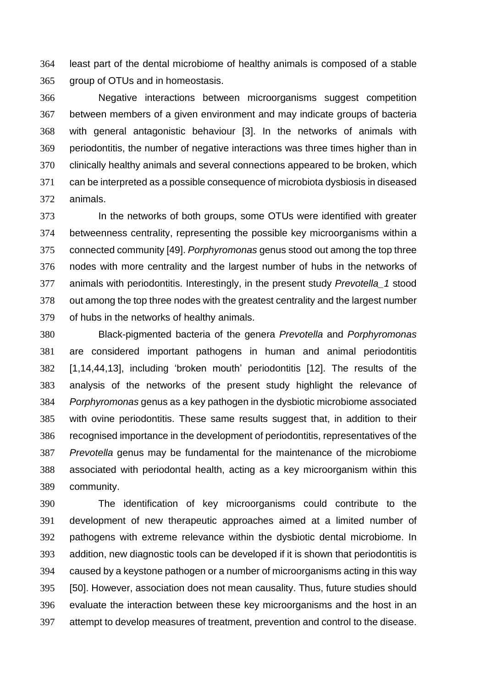least part of the dental microbiome of healthy animals is composed of a stable group of OTUs and in homeostasis.

 Negative interactions between microorganisms suggest competition between members of a given environment and may indicate groups of bacteria with general antagonistic behaviour [3]. In the networks of animals with periodontitis, the number of negative interactions was three times higher than in clinically healthy animals and several connections appeared to be broken, which can be interpreted as a possible consequence of microbiota dysbiosis in diseased animals.

 In the networks of both groups, some OTUs were identified with greater betweenness centrality, representing the possible key microorganisms within a connected community [49]. *Porphyromonas* genus stood out among the top three nodes with more centrality and the largest number of hubs in the networks of animals with periodontitis. Interestingly, in the present study *Prevotella\_1* stood out among the top three nodes with the greatest centrality and the largest number of hubs in the networks of healthy animals.

 Black-pigmented bacteria of the genera *Prevotella* and *Porphyromonas* are considered important pathogens in human and animal periodontitis [1,14,44,13], including 'broken mouth' periodontitis [12]. The results of the analysis of the networks of the present study highlight the relevance of *Porphyromonas* genus as a key pathogen in the dysbiotic microbiome associated with ovine periodontitis. These same results suggest that, in addition to their recognised importance in the development of periodontitis, representatives of the *Prevotella* genus may be fundamental for the maintenance of the microbiome associated with periodontal health, acting as a key microorganism within this community.

 The identification of key microorganisms could contribute to the development of new therapeutic approaches aimed at a limited number of pathogens with extreme relevance within the dysbiotic dental microbiome. In addition, new diagnostic tools can be developed if it is shown that periodontitis is caused by a keystone pathogen or a number of microorganisms acting in this way [50]. However, association does not mean causality. Thus, future studies should evaluate the interaction between these key microorganisms and the host in an attempt to develop measures of treatment, prevention and control to the disease.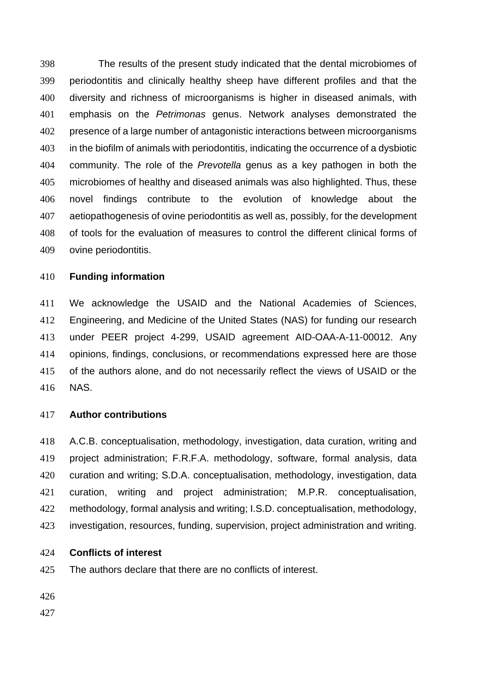The results of the present study indicated that the dental microbiomes of periodontitis and clinically healthy sheep have different profiles and that the diversity and richness of microorganisms is higher in diseased animals, with emphasis on the *Petrimonas* genus. Network analyses demonstrated the presence of a large number of antagonistic interactions between microorganisms in the biofilm of animals with periodontitis, indicating the occurrence of a dysbiotic community. The role of the *Prevotella* genus as a key pathogen in both the microbiomes of healthy and diseased animals was also highlighted. Thus, these novel findings contribute to the evolution of knowledge about the aetiopathogenesis of ovine periodontitis as well as, possibly, for the development of tools for the evaluation of measures to control the different clinical forms of ovine periodontitis.

## **Funding information**

 We acknowledge the USAID and the National Academies of Sciences, Engineering, and Medicine of the United States (NAS) for funding our research under PEER project 4-299, USAID agreement AID-OAA-A-11-00012. Any opinions, findings, conclusions, or recommendations expressed here are those of the authors alone, and do not necessarily reflect the views of USAID or the NAS.

#### **Author contributions**

 A.C.B. conceptualisation, methodology, investigation, data curation, writing and project administration; F.R.F.A. methodology, software, formal analysis, data curation and writing; S.D.A. conceptualisation, methodology, investigation, data curation, writing and project administration; M.P.R. conceptualisation, methodology, formal analysis and writing; I.S.D. conceptualisation, methodology, investigation, resources, funding, supervision, project administration and writing.

## **Conflicts of interest**

The authors declare that there are no conflicts of interest.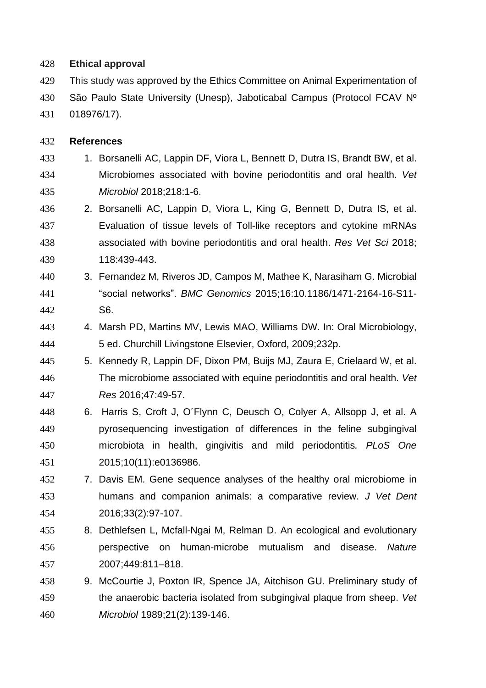## **Ethical approval**

 This study was approved by the Ethics Committee on Animal Experimentation of São Paulo State University (Unesp), Jaboticabal Campus (Protocol FCAV Nº 018976/17).

## **References**

- 1. Borsanelli AC, Lappin DF, Viora L, Bennett D, Dutra IS, Brandt BW, et al. Microbiomes associated with bovine periodontitis and oral health. *Vet Microbiol* 2018;218:1-6.
- 2. Borsanelli AC, Lappin D, Viora L, King G, Bennett D, Dutra IS, et al. Evaluation of tissue levels of Toll-like receptors and cytokine mRNAs associated with bovine periodontitis and oral health. *Res Vet Sci* 2018; 118:439-443.
- 3. Fernandez M, Riveros JD, Campos M, Mathee K, Narasiham G. Microbial "social networks". *BMC Genomics* 2015;16:10.1186/1471-2164-16-S11- S6.
- 4. Marsh PD, Martins MV, Lewis MAO, Williams DW. In: Oral Microbiology, 5 ed. Churchill Livingstone Elsevier, Oxford, 2009;232p.
- 5. Kennedy R, Lappin DF, Dixon PM, Buijs MJ, Zaura E, Crielaard W, et al. The microbiome associated with equine periodontitis and oral health. *Vet Res* 2016;47:49-57.
- 6. Harris S, Croft J, O´Flynn C, Deusch O, Colyer A, Allsopp J, et al. A pyrosequencing investigation of differences in the feline subgingival microbiota in health, gingivitis and mild periodontitis*. PLoS One* 2015;10(11):e0136986.
- 7. Davis EM. Gene sequence analyses of the healthy oral microbiome in humans and companion animals: a comparative review. *J Vet Dent* 2016;33(2):97-107.
- 8. Dethlefsen L, Mcfall-Ngai M, Relman D. An ecological and evolutionary perspective on human-microbe mutualism and disease. *Nature* 2007;449:811–818.
- 9. McCourtie J, Poxton IR, Spence JA, Aitchison GU. Preliminary study of the anaerobic bacteria isolated from subgingival plaque from sheep. *Vet Microbiol* 1989;21(2):139-146.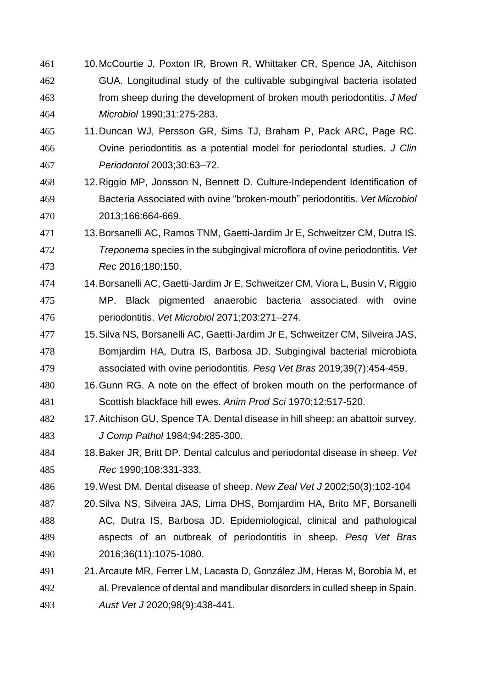- 10.McCourtie J, Poxton IR, Brown R, Whittaker CR, Spence JA, Aitchison GUA. Longitudinal study of the cultivable subgingival bacteria isolated from sheep during the development of broken mouth periodontitis. *J Med Microbiol* 1990;31:275-283.
- 11.Duncan WJ, Persson GR, Sims TJ, Braham P, Pack ARC, Page RC. Ovine periodontitis as a potential model for periodontal studies. *J Clin Periodontol* 2003;30:63–72.
- 12.Riggio MP, Jonsson N, Bennett D. Culture-Independent Identification of Bacteria Associated with ovine "broken-mouth" periodontitis. *Vet Microbiol* 2013;166:664-669.
- 13.Borsanelli AC, Ramos TNM, Gaetti-Jardim Jr E, Schweitzer CM, Dutra IS. *Treponema* species in the subgingival microflora of ovine periodontitis. *Vet Rec* 2016;180:150.
- 14.Borsanelli AC, Gaetti-Jardim Jr E, Schweitzer CM, Viora L, Busin V, Riggio MP. Black pigmented anaerobic bacteria associated with ovine periodontitis. *Vet Microbiol* 2071;203:271–274.
- 15.Silva NS, Borsanelli AC, Gaetti-Jardim Jr E, Schweitzer CM, Silveira JAS, Bomjardim HA, Dutra IS, Barbosa JD. Subgingival bacterial microbiota associated with ovine periodontitis. *Pesq Vet Bras* 2019;39(7):454-459.
- 480 16. Gunn RG. A note on the effect of broken mouth on the performance of Scottish blackface hill ewes. *Anim Prod Sci* 1970;12:517-520.
- 17.Aitchison GU, Spence TA. Dental disease in hill sheep: an abattoir survey. *J Comp Pathol* 1984;94:285-300.
- 18.Baker JR, Britt DP. Dental calculus and periodontal disease in sheep. *Vet Rec* 1990;108:331-333.
- 19.West DM. Dental disease of sheep. *New Zeal Vet J* 2002;50(3):102-104
- 20.Silva NS, Silveira JAS, Lima DHS, Bomjardim HA, Brito MF, Borsanelli AC, Dutra IS, Barbosa JD. Epidemiological, clinical and pathological aspects of an outbreak of periodontitis in sheep. *Pesq Vet Bras* 2016;36(11):1075-1080.
- 21.Arcaute MR, Ferrer LM, Lacasta D, González JM, Heras M, Borobia M, et al. Prevalence of dental and mandibular disorders in culled sheep in Spain. *Aust Vet J* 2020;98(9):438-441.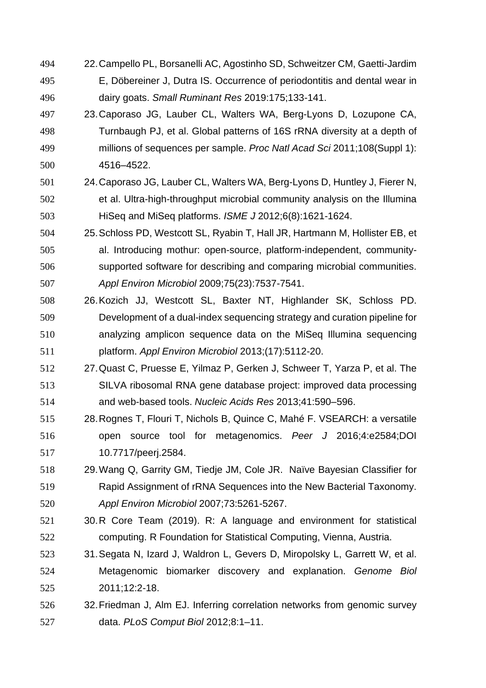- 22.Campello PL, Borsanelli AC, Agostinho SD, Schweitzer CM, Gaetti-Jardim E, Döbereiner J, Dutra IS. Occurrence of periodontitis and dental wear in dairy goats. *Small Ruminant Res* 2019:175;133-141.
- 23.Caporaso JG, Lauber CL, Walters WA, Berg-Lyons D, Lozupone CA, Turnbaugh PJ, et al. Global patterns of 16S rRNA diversity at a depth of millions of sequences per sample. *Proc Natl Acad Sci* 2011;108(Suppl 1): 4516–4522.
- 24.Caporaso JG, Lauber CL, Walters WA, Berg-Lyons D, Huntley J, Fierer N, et al. Ultra-high-throughput microbial community analysis on the Illumina HiSeq and MiSeq platforms. *ISME J* 2012;6(8):1621-1624.
- 25.Schloss PD, Westcott SL, Ryabin T, Hall JR, Hartmann M, Hollister EB, et al. Introducing mothur: open-source, platform-independent, community- supported software for describing and comparing microbial communities. *Appl Environ Microbiol* 2009;75(23):7537-7541.
- 26.Kozich JJ, Westcott SL, Baxter NT, Highlander SK, Schloss PD. Development of a dual-index sequencing strategy and curation pipeline for analyzing amplicon sequence data on the MiSeq Illumina sequencing platform. *Appl Environ Microbiol* 2013;(17):5112-20.
- 27.Quast C, Pruesse E, Yilmaz P, Gerken J, Schweer T, Yarza P, et al. The SILVA ribosomal RNA gene database project: improved data processing and web-based tools. *Nucleic Acids Res* 2013;41:590–596.
- 28.Rognes T, Flouri T, Nichols B, Quince C, Mahé F. VSEARCH: a versatile open source tool for metagenomics. *Peer J* 2016;4:e2584;DOI 10.7717/peerj.2584.
- 29.Wang Q, Garrity GM, Tiedje JM, Cole JR. Naïve Bayesian Classifier for Rapid Assignment of rRNA Sequences into the New Bacterial Taxonomy. *Appl Environ Microbiol* 2007;73:5261-5267.
- 30.R Core Team (2019). R: A language and environment for statistical computing. R Foundation for Statistical Computing, Vienna, Austria.
- 31.Segata N, Izard J, Waldron L, Gevers D, Miropolsky L, Garrett W, et al. Metagenomic biomarker discovery and explanation. *Genome Biol* 2011;12:2-18.
- 32.Friedman J, Alm EJ. Inferring correlation networks from genomic survey data. *PLoS Comput Biol* 2012;8:1–11.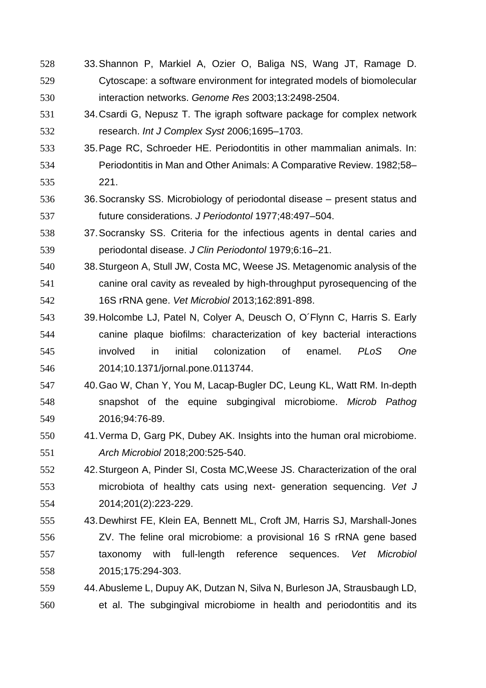- 33.Shannon P, Markiel A, Ozier O, Baliga NS, Wang JT, Ramage D. Cytoscape: a software environment for integrated models of biomolecular interaction networks. *Genome Res* 2003;13:2498-2504.
- 34.Csardi G, Nepusz T. The igraph software package for complex network research. *Int J Complex Syst* 2006;1695–1703.
- 35.Page RC, Schroeder HE. Periodontitis in other mammalian animals. In: Periodontitis in Man and Other Animals: A Comparative Review. 1982;58– 221.
- 36.Socransky SS. Microbiology of periodontal disease present status and future considerations. *J Periodontol* 1977;48:497–504.
- 37.Socransky SS. Criteria for the infectious agents in dental caries and periodontal disease. *J Clin Periodontol* 1979;6:16–21.
- 38.Sturgeon A, Stull JW, Costa MC, Weese JS. Metagenomic analysis of the canine oral cavity as revealed by high-throughput pyrosequencing of the 16S rRNA gene. *Vet Microbiol* 2013;162:891-898.
- 39.Holcombe LJ, Patel N, Colyer A, Deusch O, O´Flynn C, Harris S. Early canine plaque biofilms: characterization of key bacterial interactions involved in initial colonization of enamel. *PLoS One* 2014;10.1371/jornal.pone.0113744.
- 40.Gao W, Chan Y, You M, Lacap-Bugler DC, Leung KL, Watt RM. In-depth snapshot of the equine subgingival microbiome. *Microb Pathog* 2016;94:76-89.
- 41.Verma D, Garg PK, Dubey AK. Insights into the human oral microbiome. *Arch Microbiol* 2018;200:525-540.
- 42.Sturgeon A, Pinder SI, Costa MC,Weese JS. Characterization of the oral microbiota of healthy cats using next- generation sequencing. *Vet J* 2014;201(2):223-229.
- 43.Dewhirst FE, Klein EA, Bennett ML, Croft JM, Harris SJ, Marshall-Jones ZV. The feline oral microbiome: a provisional 16 S rRNA gene based taxonomy with full-length reference sequences. *Vet Microbiol* 2015;175:294-303.
- 44.Abusleme L, Dupuy AK, Dutzan N, Silva N, Burleson JA, Strausbaugh LD, et al. The subgingival microbiome in health and periodontitis and its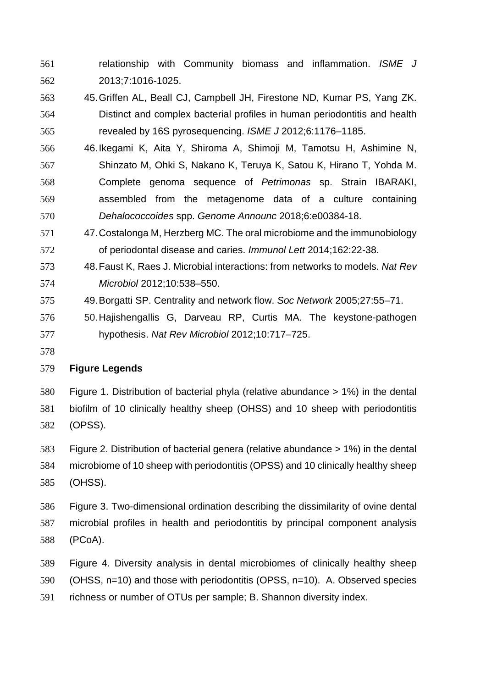- relationship with Community biomass and inflammation. *ISME J* 2013;7:1016-1025.
- 45.Griffen AL, Beall CJ, Campbell JH, Firestone ND, Kumar PS, Yang ZK. Distinct and complex bacterial profiles in human periodontitis and health revealed by 16S pyrosequencing. *ISME J* 2012;6:1176–1185.
- 46.Ikegami K, Aita Y, Shiroma A, Shimoji M, Tamotsu H, Ashimine N, Shinzato M, Ohki S, Nakano K, Teruya K, Satou K, Hirano T, Yohda M. Complete genoma sequence of *Petrimonas* sp. Strain IBARAKI, assembled from the metagenome data of a culture containing *Dehalococcoides* spp. *Genome Announc* 2018;6:e00384-18.
- 47.Costalonga M, Herzberg MC. The oral microbiome and the immunobiology of periodontal disease and caries. *Immunol Lett* 2014;162:22-38.
- 48.Faust K, Raes J. Microbial interactions: from networks to models. *Nat Rev Microbiol* 2012;10:538–550.
- 49.Borgatti SP. Centrality and network flow. *Soc Network* 2005;27:55–71.
- 50.Hajishengallis G, Darveau RP, Curtis MA. The keystone-pathogen hypothesis. *Nat Rev Microbiol* 2012;10:717–725.
- 

## **Figure Legends**

- Figure 1. Distribution of bacterial phyla (relative abundance > 1%) in the dental biofilm of 10 clinically healthy sheep (OHSS) and 10 sheep with periodontitis (OPSS).
- Figure 2. Distribution of bacterial genera (relative abundance > 1%) in the dental microbiome of 10 sheep with periodontitis (OPSS) and 10 clinically healthy sheep (OHSS).
- Figure 3. Two-dimensional ordination describing the dissimilarity of ovine dental microbial profiles in health and periodontitis by principal component analysis (PCoA).
- Figure 4. Diversity analysis in dental microbiomes of clinically healthy sheep (OHSS, n=10) and those with periodontitis (OPSS, n=10). A. Observed species
- richness or number of OTUs per sample; B. Shannon diversity index.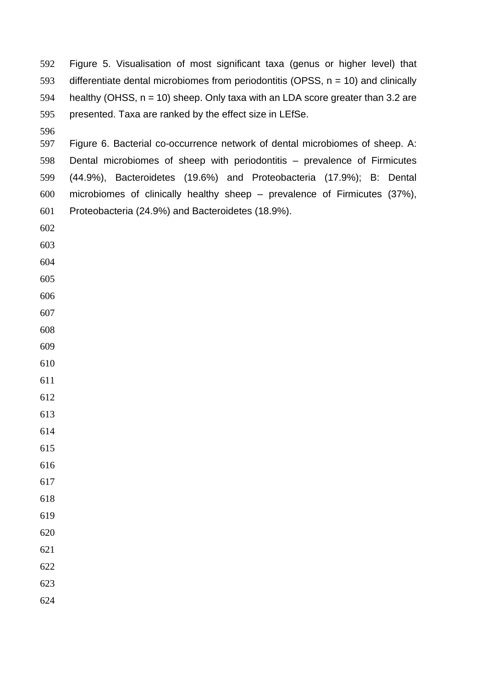Figure 5. Visualisation of most significant taxa (genus or higher level) that 593 differentiate dental microbiomes from periodontitis (OPSS,  $n = 10$ ) and clinically 594 healthy (OHSS,  $n = 10$ ) sheep. Only taxa with an LDA score greater than 3.2 are presented. Taxa are ranked by the effect size in LEfSe.

 Figure 6. Bacterial co-occurrence network of dental microbiomes of sheep. A: Dental microbiomes of sheep with periodontitis – prevalence of Firmicutes (44.9%), Bacteroidetes (19.6%) and Proteobacteria (17.9%); B: Dental microbiomes of clinically healthy sheep – prevalence of Firmicutes (37%), Proteobacteria (24.9%) and Bacteroidetes (18.9%).

- 
- 
- 
- 
- 
- 
- 
- 

 

- 
- 
- 
- 
- 
- 
- 
-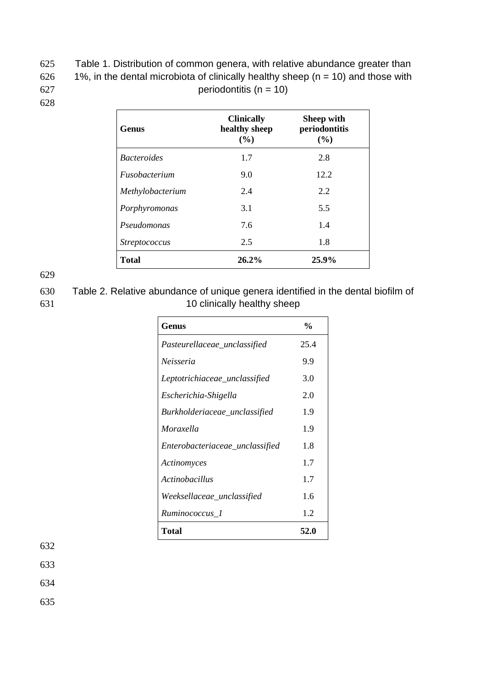625 Table 1. Distribution of common genera, with relative abundance greater than 626 1%, in the dental microbiota of clinically healthy sheep ( $n = 10$ ) and those with  $627$  periodontitis (n = 10)

628

| <b>Genus</b>                | <b>Clinically</b><br>healthy sheep<br>(%) | <b>Sheep with</b><br>periodontitis<br>(%) |
|-----------------------------|-------------------------------------------|-------------------------------------------|
| <i>Bacteroides</i>          | 1.7                                       | 2.8                                       |
| <i><b>Fusobacterium</b></i> | 9.0                                       | 12.2                                      |
| Methylobacterium            | 2.4                                       | 2.2                                       |
| Porphyromonas               | 3.1                                       | 5.5                                       |
| Pseudomonas                 | 7.6                                       | 1.4                                       |
| <i>Streptococcus</i>        | 2.5                                       | 1.8                                       |
| <b>Total</b>                | 26.2%                                     | 25.9%                                     |

629

630 Table 2. Relative abundance of unique genera identified in the dental biofilm of 631 10 clinically healthy sheep

| Genus                           | $\frac{0}{0}$ |
|---------------------------------|---------------|
| Pasteurellaceae_unclassified    | 25.4          |
| Neisseria                       | 9.9           |
| Leptotrichiaceae_unclassified   | 3.0           |
| Escherichia-Shigella            | 2.0           |
| Burkholderiaceae_unclassified   | 1.9           |
| Moraxella                       | 1.9           |
| Enterobacteriaceae_unclassified | 1.8           |
| Actinomyces                     | 1.7           |
| <i>Actinobacillus</i>           | 1.7           |
| Weeksellaceae_unclassified      | 1.6           |
| Ruminococcus_1                  | 1.2           |
| Total                           | 52.0          |

632

633

634